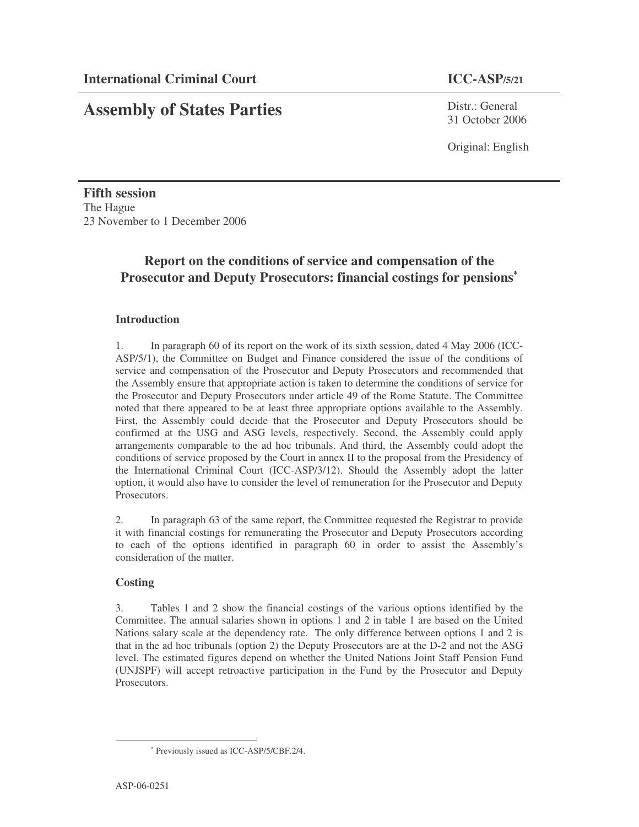# **Assembly of States Parties**

Distr · General 31 October 2006

Original: English

**Fifth session** The Hague 23 November to 1 December 2006

## **Report on the conditions of service and compensation of the Prosecutor and Deputy Prosecutors: financial costings for pensions** ∗

#### **Introduction**

1. In paragraph 60 of its report on the work of its sixth session, dated 4 May 2006 (ICC-ASP/5/1), the Committee on Budget and Finance considered the issue of the conditions of service and compensation of the Prosecutor and Deputy Prosecutors and recommended that the Assembly ensure that appropriate action is taken to determine the conditions of service for the Prosecutor and Deputy Prosecutors under article 49 of the Rome Statute. The Committee noted that there appeared to be at least three appropriate options available to the Assembly. First, the Assembly could decide that the Prosecutor and Deputy Prosecutors should be confirmed at the USG and ASG levels, respectively. Second, the Assembly could apply arrangements comparable to the ad hoc tribunals. And third, the Assembly could adopt the conditions of service proposed by the Court in annex II to the proposal from the Presidency of the International Criminal Court (ICC-ASP/3/12). Should the Assembly adopt the latter option, it would also have to consider the level of remuneration for the Prosecutor and Deputy Prosecutors.

2. In paragraph 63 of the same report, the Committee requested the Registrar to provide it with financial costings for remunerating the Prosecutor and Deputy Prosecutors according to each of the options identified in paragraph 60 in order to assist the Assembly's consideration of the matter.

#### **Costing**

3. Tables 1 and 2 show the financial costings of the various options identified by the Committee. The annual salaries shown in options 1 and 2 in table 1 are based on the United Nations salary scale at the dependency rate. The only difference between options 1 and 2 is that in the ad hoc tribunals (option 2) the Deputy Prosecutors are at the D-2 and not the ASG level. The estimated figures depend on whether the United Nations Joint Staff Pension Fund (UNJSPF) will accept retroactive participation in the Fund by the Prosecutor and Deputy Prosecutors.

<sup>∗</sup> Previously issued as ICC-ASP/5/CBF.2/4.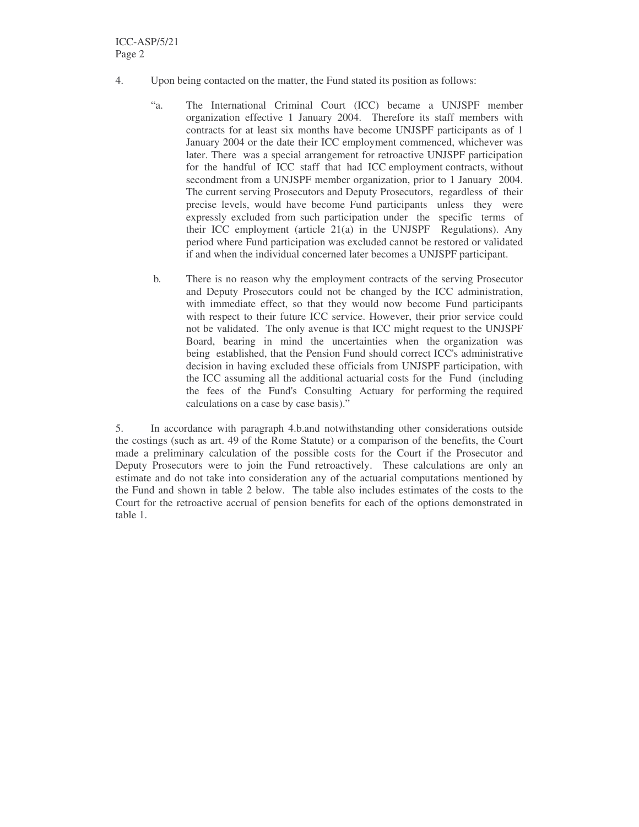- 4. Upon being contacted on the matter, the Fund stated its position as follows:
	- "a. The International Criminal Court (ICC) became a UNJSPF member organization effective 1 January 2004. Therefore its staff members with contracts for at least six months have become UNJSPF participants as of 1 January 2004 or the date their ICC employment commenced, whichever was later. There was a special arrangement for retroactive UNJSPF participation for the handful of ICC staff that had ICC employment contracts, without secondment from a UNJSPF member organization, prior to 1 January 2004. The current serving Prosecutors and Deputy Prosecutors, regardless of their precise levels, would have become Fund participants unless they were expressly excluded from such participation under the specific terms of their ICC employment (article 21(a) in the UNJSPF Regulations). Any period where Fund participation was excluded cannot be restored or validated if and when the individual concerned later becomes a UNJSPF participant.
	- b*.* There is no reason why the employment contracts of the serving Prosecutor and Deputy Prosecutors could not be changed by the ICC administration, with immediate effect, so that they would now become Fund participants with respect to their future ICC service. However, their prior service could not be validated. The only avenue is that ICC might request to the UNJSPF Board, bearing in mind the uncertainties when the organization was being established, that the Pension Fund should correct ICC's administrative decision in having excluded these officials from UNJSPF participation, with the ICC assuming all the additional actuarial costs for the Fund (including the fees of the Fund's Consulting Actuary for performing the required calculations on a case by case basis)."

5. In accordance with paragraph 4.b.and notwithstanding other considerations outside the costings (such as art. 49 of the Rome Statute) or a comparison of the benefits, the Court made a preliminary calculation of the possible costs for the Court if the Prosecutor and Deputy Prosecutors were to join the Fund retroactively. These calculations are only an estimate and do not take into consideration any of the actuarial computations mentioned by the Fund and shown in table 2 below. The table also includes estimates of the costs to the Court for the retroactive accrual of pension benefits for each of the options demonstrated in table 1.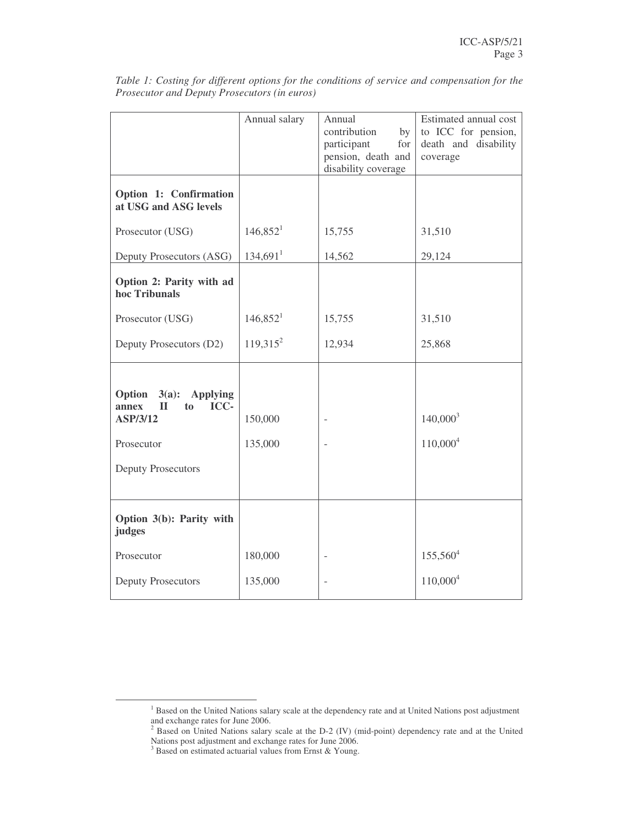|                                                                                               | Annual salary        | Annual<br>contribution<br>by<br>participant<br>for<br>pension, death and<br>disability coverage | Estimated annual cost<br>to ICC for pension,<br>death and disability<br>coverage |  |  |  |
|-----------------------------------------------------------------------------------------------|----------------------|-------------------------------------------------------------------------------------------------|----------------------------------------------------------------------------------|--|--|--|
| Option 1: Confirmation<br>at USG and ASG levels                                               |                      |                                                                                                 |                                                                                  |  |  |  |
| Prosecutor (USG)                                                                              | 146,852 <sup>1</sup> | 15,755                                                                                          | 31,510                                                                           |  |  |  |
| Deputy Prosecutors (ASG)                                                                      | 134,691 <sup>1</sup> | 14,562                                                                                          | 29,124                                                                           |  |  |  |
| Option 2: Parity with ad<br>hoc Tribunals                                                     |                      |                                                                                                 |                                                                                  |  |  |  |
| Prosecutor (USG)                                                                              | $146,852^1$          | 15,755                                                                                          | 31,510                                                                           |  |  |  |
| Deputy Prosecutors (D2)                                                                       | $119,315^2$          | 12,934                                                                                          | 25,868                                                                           |  |  |  |
| Option<br>$3(a)$ : Applying<br>ICC-<br>$\mathbf{I}$<br>annex<br>to.<br>ASP/3/12<br>Prosecutor | 150,000<br>135,000   |                                                                                                 | $140,000^3$<br>$110,000^4$                                                       |  |  |  |
| <b>Deputy Prosecutors</b>                                                                     |                      |                                                                                                 |                                                                                  |  |  |  |
| Option 3(b): Parity with<br>judges                                                            |                      |                                                                                                 |                                                                                  |  |  |  |
| Prosecutor                                                                                    | 180,000              |                                                                                                 | $155,560^4$                                                                      |  |  |  |
| <b>Deputy Prosecutors</b>                                                                     | 135,000              |                                                                                                 | $110,000^4$                                                                      |  |  |  |

*Table 1: Costing for different options for the conditions of service and compensation for the Prosecutor and Deputy Prosecutors (in euros)*

<sup>&</sup>lt;sup>1</sup> Based on the United Nations salary scale at the dependency rate and at United Nations post adjustment and exchange rates for June 2006.

 $2^{2}$  Based on United Nations salary scale at the D-2 (IV) (mid-point) dependency rate and at the United Nations post adjustment and exchange rates for June 2006.

<sup>&</sup>lt;sup>3</sup> Based on estimated actuarial values from Ernst & Young.